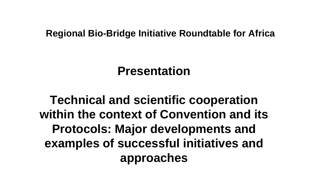#### **Regional Bio-Bridge Initiative Roundtable for Africa**

#### **Presentation**

**Technical and scientific cooperation within the context of Convention and its Protocols: Major developments and examples of successful initiatives and approaches**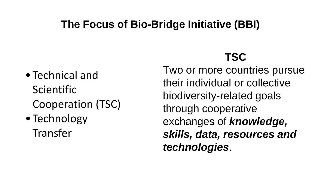#### **The Focus of Bio-Bridge Initiative (BBI)**

- Technical and Scientific Cooperation (TSC)
- Technology Transfer

#### **TSC**

Two or more countries pursue their individual or collective biodiversity-related goals through cooperative exchanges of *knowledge, skills, data, resources and technologies*.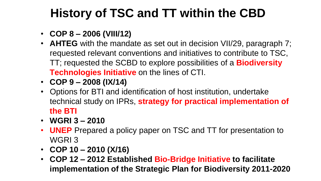## **History of TSC and TT within the CBD**

- **COP 8 – 2006 (VIII/12)**
- **AHTEG** with the mandate as set out in decision VII/29, paragraph 7; requested relevant conventions and initiatives to contribute to TSC, TT; requested the SCBD to explore possibilities of a **Biodiversity Technologies Initiative** on the lines of CTI.
- **COP 9 – 2008 (IX/14)**
- Options for BTI and identification of host institution, undertake technical study on IPRs, **strategy for practical implementation of the BTI**
- $\cdot$  WGRI 3 2010
- **UNEP** Prepared a policy paper on TSC and TT for presentation to WGRI 3
- **COP 10 – 2010 (X/16)**
- **COP 12 – 2012 Established Bio-Bridge Initiative to facilitate implementation of the Strategic Plan for Biodiversity 2011-2020**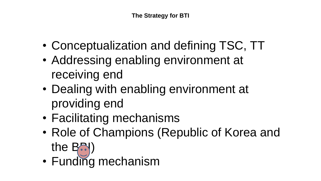- Conceptualization and defining TSC, TT
- Addressing enabling environment at receiving end
- Dealing with enabling environment at providing end
- Facilitating mechanisms
- Role of Champions (Republic of Korea and the  $\mathsf{B}$ )
- Funding mechanism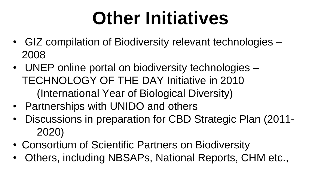# **Other Initiatives**

- GIZ compilation of Biodiversity relevant technologies 2008
- UNEP online portal on biodiversity technologies TECHNOLOGY OF THE DAY Initiative in 2010 (International Year of Biological Diversity)
- Partnerships with UNIDO and others
- Discussions in preparation for CBD Strategic Plan (2011- 2020)
- Consortium of Scientific Partners on Biodiversity
- Others, including NBSAPs, National Reports, CHM etc.,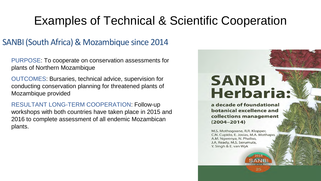#### SANBI (South Africa) & Mozambique since 2014

PURPOSE: To cooperate on conservation assessments for plants of Northern Mozambique

OUTCOMES: Bursaries, technical advice, supervision for conducting conservation planning for threatened plants of Mozambique provided

RESULTANT LONG-TERM COOPERATION: Follow-up workshops with both countries have taken place in 2015 and 2016 to complete assessment of all endemic Mozambican plants.

# **SANBI Herbaria:**

a decade of foundational botanical excellence and collections management  $(2004 - 2014)$ 

M.S. Mothogoane, R.R. Klopper, C.N. Cupido, E. Josias, M.A. Mothapo, A.M. Ngwenya, N. Phaliso, J.A. Ready, M.S. Serumula, Y. Singh & E. van Wyk

25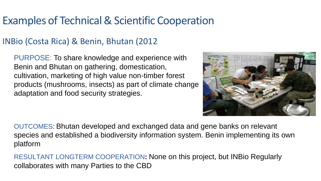#### INBio (Costa Rica) & Benin, Bhutan (2012

PURPOSE: To share knowledge and experience with Benin and Bhutan on gathering, domestication, cultivation, marketing of high value non-timber forest products (mushrooms, insects) as part of climate change adaptation and food security strategies.



OUTCOMES: Bhutan developed and exchanged data and gene banks on relevant species and established a biodiversity information system. Benin implementing its own platform

RESULTANT LONGTERM COOPERATION**:** None on this project, but INBio Regularly collaborates with many Parties to the CBD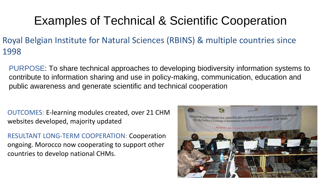- Royal Belgian Institute for Natural Sciences (RBINS) & multiple countries since 1998
	- PURPOSE: To share technical approaches to developing biodiversity information systems to contribute to information sharing and use in policy-making, communication, education and public awareness and generate scientific and technical cooperation
	- OUTCOMES: E-learning modules created, over 21 CHM websites developed, majority updated
	- RESULTANT LONG-TERM COOPERATION: Cooperation ongoing. Morocco now cooperating to support other countries to develop national CHMs.

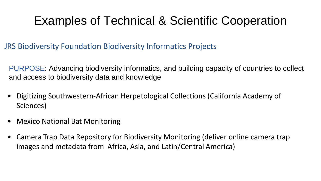JRS Biodiversity Foundation Biodiversity Informatics Projects

PURPOSE: Advancing biodiversity informatics, and building capacity of countries to collect and access to biodiversity data and knowledge

- Digitizing Southwestern-African Herpetological Collections (California Academy of Sciences)
- Mexico National Bat Monitoring
- Camera Trap Data Repository for Biodiversity Monitoring (deliver online camera trap images and metadata from Africa, Asia, and Latin/Central America)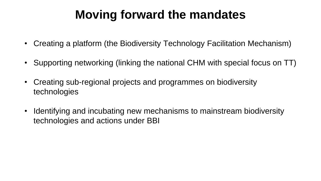## **Moving forward the mandates**

- Creating a platform (the Biodiversity Technology Facilitation Mechanism)
- Supporting networking (linking the national CHM with special focus on TT)
- Creating sub-regional projects and programmes on biodiversity technologies
- Identifying and incubating new mechanisms to mainstream biodiversity technologies and actions under BBI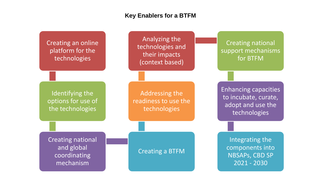#### **Key Enablers for a BTFM**

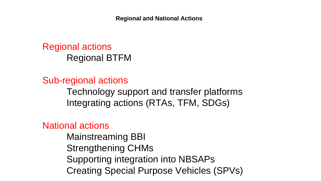**Regional and National Actions** 

Regional actions Regional BTFM

Sub-regional actions Technology support and transfer platforms Integrating actions (RTAs, TFM, SDGs)

National actions

 Mainstreaming BBI Strengthening CHMs Supporting integration into NBSAPs Creating Special Purpose Vehicles (SPVs)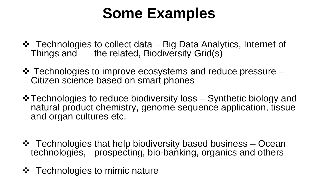# **Some Examples**

- Technologies to collect data Big Data Analytics, Internet of Things and the related, Biodiversity Grid(s)
- Technologies to improve ecosystems and reduce pressure Citizen science based on smart phones
- **\*** Technologies to reduce biodiversity loss Synthetic biology and natural product chemistry, genome sequence application, tissue and organ cultures etc.
- ❖ Technologies that help biodiversity based business Ocean technologies, prospecting, bio-banking, organics and others
- **❖** Technologies to mimic nature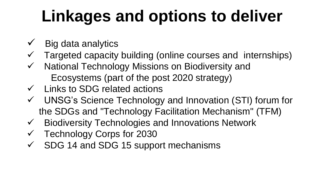# **Linkages and options to deliver**

- $\checkmark$  Big data analytics
- Targeted capacity building (online courses and internships)
- $\checkmark$  National Technology Missions on Biodiversity and Ecosystems (part of the post 2020 strategy)
- $\checkmark$  Links to SDG related actions
- UNSG's Science Technology and Innovation (STI) forum for the SDGs and "Technology Facilitation Mechanism" (TFM)
- $\checkmark$  Biodiversity Technologies and Innovations Network
- $\checkmark$  Technology Corps for 2030
- SDG 14 and SDG 15 support mechanisms